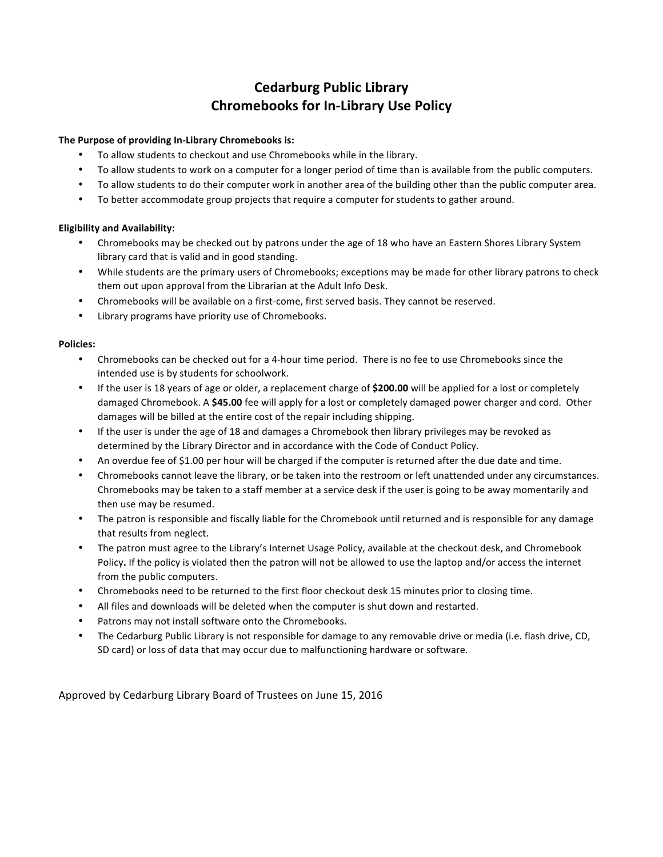# **Cedarburg Public Library Chromebooks for In-Library Use Policy**

### **The Purpose of providing In-Library Chromebooks is:**

- To allow students to checkout and use Chromebooks while in the library.
- To allow students to work on a computer for a longer period of time than is available from the public computers.
- To allow students to do their computer work in another area of the building other than the public computer area.
- To better accommodate group projects that require a computer for students to gather around.

#### **Eligibility and Availability:**

- Chromebooks may be checked out by patrons under the age of 18 who have an Eastern Shores Library System library card that is valid and in good standing.
- While students are the primary users of Chromebooks; exceptions may be made for other library patrons to check them out upon approval from the Librarian at the Adult Info Desk.
- Chromebooks will be available on a first-come, first served basis. They cannot be reserved.
- Library programs have priority use of Chromebooks.

#### **Policies:**

- Chromebooks can be checked out for a 4-hour time period. There is no fee to use Chromebooks since the intended use is by students for schoolwork.
- If the user is 18 years of age or older, a replacement charge of **\$200.00** will be applied for a lost or completely damaged Chromebook. A \$45.00 fee will apply for a lost or completely damaged power charger and cord. Other damages will be billed at the entire cost of the repair including shipping.
- If the user is under the age of 18 and damages a Chromebook then library privileges may be revoked as determined by the Library Director and in accordance with the Code of Conduct Policy.
- An overdue fee of \$1.00 per hour will be charged if the computer is returned after the due date and time.
- Chromebooks cannot leave the library, or be taken into the restroom or left unattended under any circumstances. Chromebooks may be taken to a staff member at a service desk if the user is going to be away momentarily and then use may be resumed.
- The patron is responsible and fiscally liable for the Chromebook until returned and is responsible for any damage that results from neglect.
- The patron must agree to the Library's Internet Usage Policy, available at the checkout desk, and Chromebook Policy. If the policy is violated then the patron will not be allowed to use the laptop and/or access the internet from the public computers.
- Chromebooks need to be returned to the first floor checkout desk 15 minutes prior to closing time.
- All files and downloads will be deleted when the computer is shut down and restarted.
- Patrons may not install software onto the Chromebooks.
- The Cedarburg Public Library is not responsible for damage to any removable drive or media (i.e. flash drive, CD, SD card) or loss of data that may occur due to malfunctioning hardware or software.

Approved by Cedarburg Library Board of Trustees on June 15, 2016